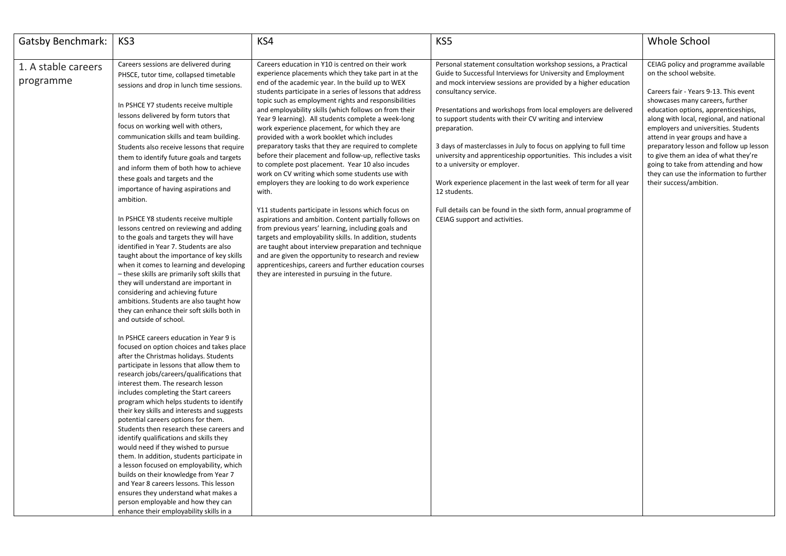| <b>Gatsby Benchmark:</b> | KS3                                           | KS4                                                                                                        | KS5                                                                                                | Whole School                                                                 |
|--------------------------|-----------------------------------------------|------------------------------------------------------------------------------------------------------------|----------------------------------------------------------------------------------------------------|------------------------------------------------------------------------------|
|                          |                                               |                                                                                                            |                                                                                                    |                                                                              |
| 1. A stable careers      | Careers sessions are delivered during         | Careers education in Y10 is centred on their work                                                          | Personal statement consultation workshop sessions, a Practical                                     | CEIAG policy and programme available                                         |
|                          | PHSCE, tutor time, collapsed timetable        | experience placements which they take part in at the                                                       | Guide to Successful Interviews for University and Employment                                       | on the school website.                                                       |
| programme                | sessions and drop in lunch time sessions.     | end of the academic year. In the build up to WEX                                                           | and mock interview sessions are provided by a higher education                                     |                                                                              |
|                          |                                               | students participate in a series of lessons that address                                                   | consultancy service.                                                                               | Careers fair - Years 9-13. This event                                        |
|                          | In PSHCE Y7 students receive multiple         | topic such as employment rights and responsibilities                                                       |                                                                                                    | showcases many careers, further                                              |
|                          | lessons delivered by form tutors that         | and employability skills (which follows on from their                                                      | Presentations and workshops from local employers are delivered                                     | education options, apprenticeships,                                          |
|                          | focus on working well with others,            | Year 9 learning). All students complete a week-long                                                        | to support students with their CV writing and interview                                            | along with local, regional, and national                                     |
|                          |                                               | work experience placement, for which they are                                                              | preparation.                                                                                       | employers and universities. Students                                         |
|                          | communication skills and team building.       | provided with a work booklet which includes                                                                |                                                                                                    | attend in year groups and have a                                             |
|                          | Students also receive lessons that require    | preparatory tasks that they are required to complete                                                       | 3 days of masterclasses in July to focus on applying to full time                                  | preparatory lesson and follow up lesson                                      |
|                          | them to identify future goals and targets     | before their placement and follow-up, reflective tasks<br>to complete post placement. Year 10 also incudes | university and apprenticeship opportunities. This includes a visit<br>to a university or employer. | to give them an idea of what they're<br>going to take from attending and how |
|                          | and inform them of both how to achieve        | work on CV writing which some students use with                                                            |                                                                                                    | they can use the information to further                                      |
|                          | these goals and targets and the               | employers they are looking to do work experience                                                           | Work experience placement in the last week of term for all year                                    | their success/ambition.                                                      |
|                          | importance of having aspirations and          | with.                                                                                                      | 12 students.                                                                                       |                                                                              |
|                          | ambition.                                     |                                                                                                            |                                                                                                    |                                                                              |
|                          |                                               | Y11 students participate in lessons which focus on                                                         | Full details can be found in the sixth form, annual programme of                                   |                                                                              |
|                          | In PSHCE Y8 students receive multiple         | aspirations and ambition. Content partially follows on                                                     | CEIAG support and activities.                                                                      |                                                                              |
|                          | lessons centred on reviewing and adding       | from previous years' learning, including goals and                                                         |                                                                                                    |                                                                              |
|                          | to the goals and targets they will have       | targets and employability skills. In addition, students                                                    |                                                                                                    |                                                                              |
|                          | identified in Year 7. Students are also       | are taught about interview preparation and technique                                                       |                                                                                                    |                                                                              |
|                          | taught about the importance of key skills     | and are given the opportunity to research and review                                                       |                                                                                                    |                                                                              |
|                          | when it comes to learning and developing      | apprenticeships, careers and further education courses                                                     |                                                                                                    |                                                                              |
|                          | - these skills are primarily soft skills that | they are interested in pursuing in the future.                                                             |                                                                                                    |                                                                              |
|                          | they will understand are important in         |                                                                                                            |                                                                                                    |                                                                              |
|                          | considering and achieving future              |                                                                                                            |                                                                                                    |                                                                              |
|                          | ambitions. Students are also taught how       |                                                                                                            |                                                                                                    |                                                                              |
|                          | they can enhance their soft skills both in    |                                                                                                            |                                                                                                    |                                                                              |
|                          | and outside of school.                        |                                                                                                            |                                                                                                    |                                                                              |
|                          | In PSHCE careers education in Year 9 is       |                                                                                                            |                                                                                                    |                                                                              |
|                          | focused on option choices and takes place     |                                                                                                            |                                                                                                    |                                                                              |
|                          | after the Christmas holidays. Students        |                                                                                                            |                                                                                                    |                                                                              |
|                          | participate in lessons that allow them to     |                                                                                                            |                                                                                                    |                                                                              |
|                          | research jobs/careers/qualifications that     |                                                                                                            |                                                                                                    |                                                                              |
|                          | interest them. The research lesson            |                                                                                                            |                                                                                                    |                                                                              |
|                          | includes completing the Start careers         |                                                                                                            |                                                                                                    |                                                                              |
|                          | program which helps students to identify      |                                                                                                            |                                                                                                    |                                                                              |
|                          | their key skills and interests and suggests   |                                                                                                            |                                                                                                    |                                                                              |
|                          | potential careers options for them.           |                                                                                                            |                                                                                                    |                                                                              |
|                          | Students then research these careers and      |                                                                                                            |                                                                                                    |                                                                              |
|                          | identify qualifications and skills they       |                                                                                                            |                                                                                                    |                                                                              |
|                          | would need if they wished to pursue           |                                                                                                            |                                                                                                    |                                                                              |
|                          | them. In addition, students participate in    |                                                                                                            |                                                                                                    |                                                                              |
|                          | a lesson focused on employability, which      |                                                                                                            |                                                                                                    |                                                                              |
|                          | builds on their knowledge from Year 7         |                                                                                                            |                                                                                                    |                                                                              |
|                          | and Year 8 careers lessons. This lesson       |                                                                                                            |                                                                                                    |                                                                              |
|                          | ensures they understand what makes a          |                                                                                                            |                                                                                                    |                                                                              |
|                          | person employable and how they can            |                                                                                                            |                                                                                                    |                                                                              |
|                          | enhance their employability skills in a       |                                                                                                            |                                                                                                    |                                                                              |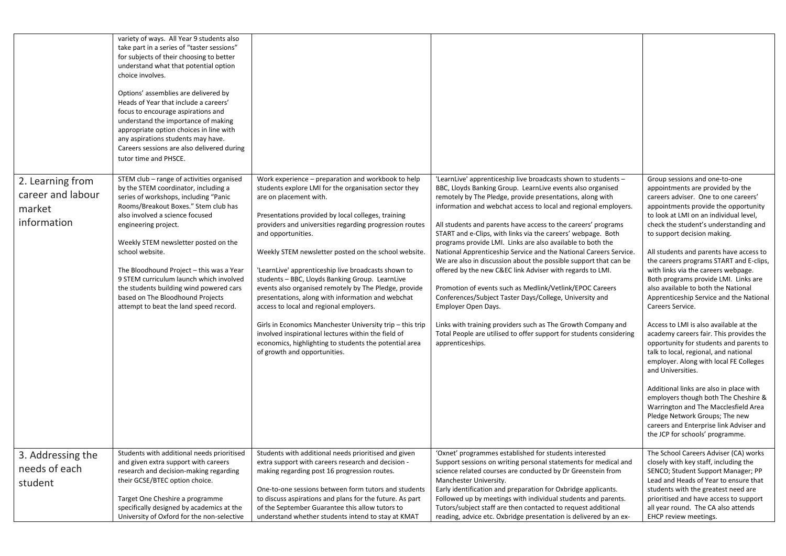|                                                                | variety of ways. All Year 9 students also<br>take part in a series of "taster sessions"<br>for subjects of their choosing to better<br>understand what that potential option<br>choice involves.<br>Options' assemblies are delivered by<br>Heads of Year that include a careers'<br>focus to encourage aspirations and<br>understand the importance of making<br>appropriate option choices in line with<br>any aspirations students may have.<br>Careers sessions are also delivered during<br>tutor time and PHSCE. |                                                                                                                                                                                                                                                                                                                                                                                                                                                                                                                                                                                                                                                                                                                                                                                                                       |                                                                                                                                                                                                                                                                                                                                                                                                                                                                                                                                                                                                                                                                                                                                                                                                                                                                                                                                                                            |                                                                                                                                                                                                                                                                                                                                                                                                                                                                                                                                                                                                                                                                                                                                                                                                                                                                                                                                                                                                                                   |
|----------------------------------------------------------------|------------------------------------------------------------------------------------------------------------------------------------------------------------------------------------------------------------------------------------------------------------------------------------------------------------------------------------------------------------------------------------------------------------------------------------------------------------------------------------------------------------------------|-----------------------------------------------------------------------------------------------------------------------------------------------------------------------------------------------------------------------------------------------------------------------------------------------------------------------------------------------------------------------------------------------------------------------------------------------------------------------------------------------------------------------------------------------------------------------------------------------------------------------------------------------------------------------------------------------------------------------------------------------------------------------------------------------------------------------|----------------------------------------------------------------------------------------------------------------------------------------------------------------------------------------------------------------------------------------------------------------------------------------------------------------------------------------------------------------------------------------------------------------------------------------------------------------------------------------------------------------------------------------------------------------------------------------------------------------------------------------------------------------------------------------------------------------------------------------------------------------------------------------------------------------------------------------------------------------------------------------------------------------------------------------------------------------------------|-----------------------------------------------------------------------------------------------------------------------------------------------------------------------------------------------------------------------------------------------------------------------------------------------------------------------------------------------------------------------------------------------------------------------------------------------------------------------------------------------------------------------------------------------------------------------------------------------------------------------------------------------------------------------------------------------------------------------------------------------------------------------------------------------------------------------------------------------------------------------------------------------------------------------------------------------------------------------------------------------------------------------------------|
| 2. Learning from<br>career and labour<br>market<br>information | STEM club - range of activities organised<br>by the STEM coordinator, including a<br>series of workshops, including "Panic<br>Rooms/Breakout Boxes." Stem club has<br>also involved a science focused<br>engineering project.<br>Weekly STEM newsletter posted on the<br>school website.<br>The Bloodhound Project - this was a Year<br>9 STEM curriculum launch which involved<br>the students building wind powered cars<br>based on The Bloodhound Projects<br>attempt to beat the land speed record.               | Work experience - preparation and workbook to help<br>students explore LMI for the organisation sector they<br>are on placement with.<br>Presentations provided by local colleges, training<br>providers and universities regarding progression routes<br>and opportunities.<br>Weekly STEM newsletter posted on the school website.<br>'LearnLive' apprenticeship live broadcasts shown to<br>students - BBC, Lloyds Banking Group. LearnLive<br>events also organised remotely by The Pledge, provide<br>presentations, along with information and webchat<br>access to local and regional employers.<br>Girls in Economics Manchester University trip - this trip<br>involved inspirational lectures within the field of<br>economics, highlighting to students the potential area<br>of growth and opportunities. | 'LearnLive' apprenticeship live broadcasts shown to students -<br>BBC, Lloyds Banking Group. LearnLive events also organised<br>remotely by The Pledge, provide presentations, along with<br>information and webchat access to local and regional employers.<br>All students and parents have access to the careers' programs<br>START and e-Clips, with links via the careers' webpage. Both<br>programs provide LMI. Links are also available to both the<br>National Apprenticeship Service and the National Careers Service.<br>We are also in discussion about the possible support that can be<br>offered by the new C&EC link Adviser with regards to LMI.<br>Promotion of events such as Medlink/Vetlink/EPOC Careers<br>Conferences/Subject Taster Days/College, University and<br>Employer Open Days.<br>Links with training providers such as The Growth Company and<br>Total People are utilised to offer support for students considering<br>apprenticeships. | Group sessions and one-to-one<br>appointments are provided by the<br>careers adviser. One to one careers'<br>appointments provide the opportunity<br>to look at LMI on an individual level,<br>check the student's understanding and<br>to support decision making.<br>All students and parents have access to<br>the careers programs START and E-clips,<br>with links via the careers webpage.<br>Both programs provide LMI. Links are<br>also available to both the National<br>Apprenticeship Service and the National<br>Careers Service.<br>Access to LMI is also available at the<br>academy careers fair. This provides the<br>opportunity for students and parents to<br>talk to local, regional, and national<br>employer. Along with local FE Colleges<br>and Universities.<br>Additional links are also in place with<br>employers though both The Cheshire &<br>Warrington and The Macclesfield Area<br>Pledge Network Groups; The new<br>careers and Enterprise link Adviser and<br>the JCP for schools' programme. |
| 3. Addressing the<br>needs of each<br>student                  | Students with additional needs prioritised<br>and given extra support with careers<br>research and decision-making regarding<br>their GCSE/BTEC option choice.<br>Target One Cheshire a programme<br>specifically designed by academics at the<br>University of Oxford for the non-selective                                                                                                                                                                                                                           | Students with additional needs prioritised and given<br>extra support with careers research and decision -<br>making regarding post 16 progression routes.<br>One-to-one sessions between form tutors and students<br>to discuss aspirations and plans for the future. As part<br>of the September Guarantee this allow tutors to<br>understand whether students intend to stay at KMAT                                                                                                                                                                                                                                                                                                                                                                                                                               | 'Oxnet' programmes established for students interested<br>Support sessions on writing personal statements for medical and<br>science related courses are conducted by Dr Greenstein from<br>Manchester University.<br>Early identification and preparation for Oxbridge applicants.<br>Followed up by meetings with individual students and parents.<br>Tutors/subject staff are then contacted to request additional<br>reading, advice etc. Oxbridge presentation is delivered by an ex-                                                                                                                                                                                                                                                                                                                                                                                                                                                                                 | The School Careers Adviser (CA) works<br>closely with key staff, including the<br>SENCO; Student Support Manager; PP<br>Lead and Heads of Year to ensure that<br>students with the greatest need are<br>prioritised and have access to support<br>all year round. The CA also attends<br>EHCP review meetings.                                                                                                                                                                                                                                                                                                                                                                                                                                                                                                                                                                                                                                                                                                                    |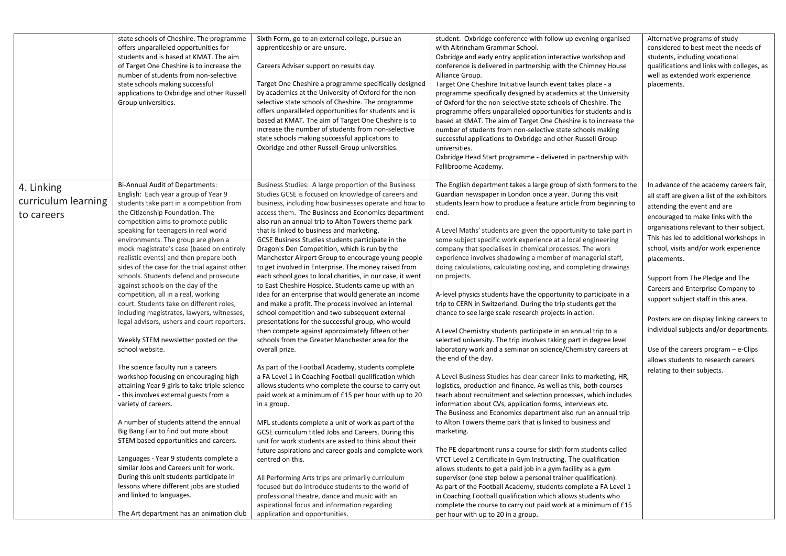|                                                 | state schools of Cheshire. The programme<br>offers unparalleled opportunities for<br>students and is based at KMAT. The aim<br>of Target One Cheshire is to increase the<br>number of students from non-selective<br>state schools making successful<br>applications to Oxbridge and other Russell<br>Group universities.                                                                                                                                                                                                                                                                                                                                                                                                                                                                                                                                                                                                                                                                                                                                                                                                                                                                                                                                                                                                      | Sixth Form, go to an external college, pursue an<br>apprenticeship or are unsure.<br>Careers Adviser support on results day.<br>Target One Cheshire a programme specifically designed<br>by academics at the University of Oxford for the non-<br>selective state schools of Cheshire. The programme<br>offers unparalleled opportunities for students and is<br>based at KMAT. The aim of Target One Cheshire is to<br>increase the number of students from non-selective<br>state schools making successful applications to<br>Oxbridge and other Russell Group universities.                                                                                                                                                                                                                                                                                                                                                                                                                                                                                                                                                                                                                                                                                                                                                                                                                                                                                                                                                                                                                                                                                                                                                                                       | student. Oxbridge conference with follow up evening organised<br>with Altrincham Grammar School.<br>Oxbridge and early entry application interactive workshop and<br>conference is delivered in partnership with the Chimney House<br>Alliance Group.<br>Target One Cheshire Initiative launch event takes place - a<br>programme specifically designed by academics at the University<br>of Oxford for the non-selective state schools of Cheshire. The<br>programme offers unparalleled opportunities for students and is<br>based at KMAT. The aim of Target One Cheshire is to increase the<br>number of students from non-selective state schools making<br>successful applications to Oxbridge and other Russell Group<br>universities.<br>Oxbridge Head Start programme - delivered in partnership with<br>Fallibroome Academy.                                                                                                                                                                                                                                                                                                                                                                                                                                                                                                                                                                                                                                                                                                                                                                                                                                                                                                                                                                                                                                                                                                 | Alternative programs of study<br>considered to best meet the needs of<br>students, including vocational<br>qualifications and links with colleges, as<br>well as extended work experience<br>placements.                                                                                                                                                                                                                                                                                                                                                                                                                          |
|-------------------------------------------------|--------------------------------------------------------------------------------------------------------------------------------------------------------------------------------------------------------------------------------------------------------------------------------------------------------------------------------------------------------------------------------------------------------------------------------------------------------------------------------------------------------------------------------------------------------------------------------------------------------------------------------------------------------------------------------------------------------------------------------------------------------------------------------------------------------------------------------------------------------------------------------------------------------------------------------------------------------------------------------------------------------------------------------------------------------------------------------------------------------------------------------------------------------------------------------------------------------------------------------------------------------------------------------------------------------------------------------|-----------------------------------------------------------------------------------------------------------------------------------------------------------------------------------------------------------------------------------------------------------------------------------------------------------------------------------------------------------------------------------------------------------------------------------------------------------------------------------------------------------------------------------------------------------------------------------------------------------------------------------------------------------------------------------------------------------------------------------------------------------------------------------------------------------------------------------------------------------------------------------------------------------------------------------------------------------------------------------------------------------------------------------------------------------------------------------------------------------------------------------------------------------------------------------------------------------------------------------------------------------------------------------------------------------------------------------------------------------------------------------------------------------------------------------------------------------------------------------------------------------------------------------------------------------------------------------------------------------------------------------------------------------------------------------------------------------------------------------------------------------------------|----------------------------------------------------------------------------------------------------------------------------------------------------------------------------------------------------------------------------------------------------------------------------------------------------------------------------------------------------------------------------------------------------------------------------------------------------------------------------------------------------------------------------------------------------------------------------------------------------------------------------------------------------------------------------------------------------------------------------------------------------------------------------------------------------------------------------------------------------------------------------------------------------------------------------------------------------------------------------------------------------------------------------------------------------------------------------------------------------------------------------------------------------------------------------------------------------------------------------------------------------------------------------------------------------------------------------------------------------------------------------------------------------------------------------------------------------------------------------------------------------------------------------------------------------------------------------------------------------------------------------------------------------------------------------------------------------------------------------------------------------------------------------------------------------------------------------------------------------------------------------------------------------------------------------------------|-----------------------------------------------------------------------------------------------------------------------------------------------------------------------------------------------------------------------------------------------------------------------------------------------------------------------------------------------------------------------------------------------------------------------------------------------------------------------------------------------------------------------------------------------------------------------------------------------------------------------------------|
| 4. Linking<br>curriculum learning<br>to careers | Bi-Annual Audit of Departments:<br>English: Each year a group of Year 9<br>students take part in a competition from<br>the Citizenship Foundation. The<br>competition aims to promote public<br>speaking for teenagers in real world<br>environments. The group are given a<br>mock magistrate's case (based on entirely<br>realistic events) and then prepare both<br>sides of the case for the trial against other<br>schools. Students defend and prosecute<br>against schools on the day of the<br>competition, all in a real, working<br>court. Students take on different roles,<br>including magistrates, lawyers, witnesses,<br>legal advisors, ushers and court reporters.<br>Weekly STEM newsletter posted on the<br>school website.<br>The science faculty run a careers<br>workshop focusing on encouraging high<br>attaining Year 9 girls to take triple science<br>- this involves external guests from a<br>variety of careers.<br>A number of students attend the annual<br>Big Bang Fair to find out more about<br>STEM based opportunities and careers.<br>Languages - Year 9 students complete a<br>similar Jobs and Careers unit for work.<br>During this unit students participate in<br>lessons where different jobs are studied<br>and linked to languages.<br>The Art department has an animation club | Business Studies: A large proportion of the Business<br>Studies GCSE is focused on knowledge of careers and<br>business, including how businesses operate and how to<br>access them. The Business and Economics department<br>also run an annual trip to Alton Towers theme park<br>that is linked to business and marketing.<br>GCSE Business Studies students participate in the<br>Dragon's Den Competition, which is run by the<br>Manchester Airport Group to encourage young people<br>to get involved in Enterprise. The money raised from<br>each school goes to local charities, in our case, it went<br>to East Cheshire Hospice. Students came up with an<br>idea for an enterprise that would generate an income<br>and make a profit. The process involved an internal<br>school competition and two subsequent external<br>presentations for the successful group, who would<br>then compete against approximately fifteen other<br>schools from the Greater Manchester area for the<br>overall prize.<br>As part of the Football Academy, students complete<br>a FA Level 1 in Coaching Football qualification which<br>allows students who complete the course to carry out<br>paid work at a minimum of £15 per hour with up to 20<br>in a group.<br>MFL students complete a unit of work as part of the<br>GCSE curriculum titled Jobs and Careers. During this<br>unit for work students are asked to think about their<br>future aspirations and career goals and complete work<br>centred on this.<br>All Performing Arts trips are primarily curriculum<br>focused but do introduce students to the world of<br>professional theatre, dance and music with an<br>aspirational focus and information regarding<br>application and opportunities. | The English department takes a large group of sixth formers to the<br>Guardian newspaper in London once a year. During this visit<br>students learn how to produce a feature article from beginning to<br>end.<br>A Level Maths' students are given the opportunity to take part in<br>some subject specific work experience at a local engineering<br>company that specialises in chemical processes. The work<br>experience involves shadowing a member of managerial staff,<br>doing calculations, calculating costing, and completing drawings<br>on projects.<br>A-level physics students have the opportunity to participate in a<br>trip to CERN in Switzerland. During the trip students get the<br>chance to see large scale research projects in action.<br>A Level Chemistry students participate in an annual trip to a<br>selected university. The trip involves taking part in degree level<br>laboratory work and a seminar on science/Chemistry careers at<br>the end of the day.<br>A Level Business Studies has clear career links to marketing, HR,<br>logistics, production and finance. As well as this, both courses<br>teach about recruitment and selection processes, which includes<br>information about CVs, application forms, interviews etc.<br>The Business and Economics department also run an annual trip<br>to Alton Towers theme park that is linked to business and<br>marketing.<br>The PE department runs a course for sixth form students called<br>VTCT Level 2 Certificate in Gym Instructing. The qualification<br>allows students to get a paid job in a gym facility as a gym<br>supervisor (one step below a personal trainer qualification).<br>As part of the Football Academy, students complete a FA Level 1<br>in Coaching Football qualification which allows students who<br>complete the course to carry out paid work at a minimum of £15<br>per hour with up to 20 in a group. | In advance of the academy careers fair,<br>all staff are given a list of the exhibitors<br>attending the event and are<br>encouraged to make links with the<br>organisations relevant to their subject.<br>This has led to additional workshops in<br>school, visits and/or work experience<br>placements.<br>Support from The Pledge and The<br>Careers and Enterprise Company to<br>support subject staff in this area.<br>Posters are on display linking careers to<br>individual subjects and/or departments.<br>Use of the careers program $-$ e-Clips<br>allows students to research careers<br>relating to their subjects. |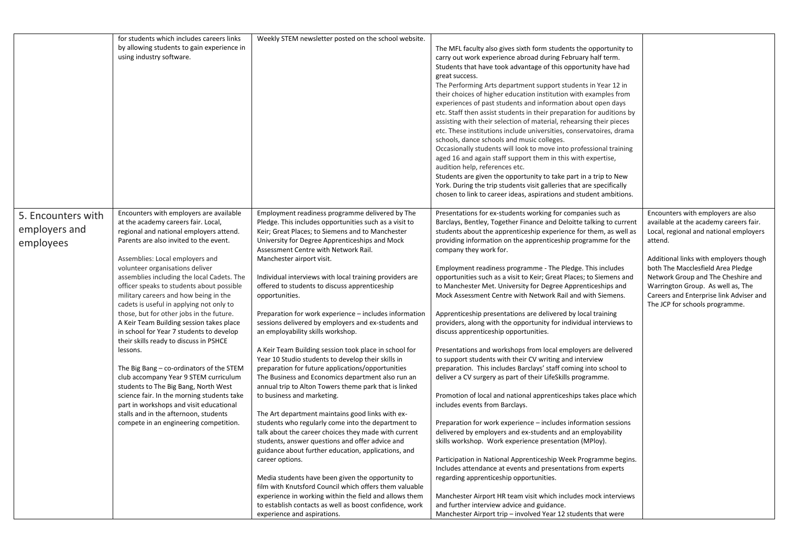|                    | for students which includes careers links                                          | Weekly STEM newsletter posted on the school website.    |                                                                       |                                         |
|--------------------|------------------------------------------------------------------------------------|---------------------------------------------------------|-----------------------------------------------------------------------|-----------------------------------------|
|                    | by allowing students to gain experience in                                         |                                                         | The MFL faculty also gives sixth form students the opportunity to     |                                         |
|                    | using industry software.                                                           |                                                         | carry out work experience abroad during February half term.           |                                         |
|                    |                                                                                    |                                                         | Students that have took advantage of this opportunity have had        |                                         |
|                    |                                                                                    |                                                         | great success.                                                        |                                         |
|                    |                                                                                    |                                                         | The Performing Arts department support students in Year 12 in         |                                         |
|                    |                                                                                    |                                                         | their choices of higher education institution with examples from      |                                         |
|                    |                                                                                    |                                                         | experiences of past students and information about open days          |                                         |
|                    |                                                                                    |                                                         | etc. Staff then assist students in their preparation for auditions by |                                         |
|                    |                                                                                    |                                                         | assisting with their selection of material, rehearsing their pieces   |                                         |
|                    |                                                                                    |                                                         | etc. These institutions include universities, conservatoires, drama   |                                         |
|                    |                                                                                    |                                                         | schools, dance schools and music colleges.                            |                                         |
|                    |                                                                                    |                                                         | Occasionally students will look to move into professional training    |                                         |
|                    |                                                                                    |                                                         | aged 16 and again staff support them in this with expertise,          |                                         |
|                    |                                                                                    |                                                         | audition help, references etc.                                        |                                         |
|                    |                                                                                    |                                                         | Students are given the opportunity to take part in a trip to New      |                                         |
|                    |                                                                                    |                                                         | York. During the trip students visit galleries that are specifically  |                                         |
|                    |                                                                                    |                                                         | chosen to link to career ideas, aspirations and student ambitions.    |                                         |
|                    | Encounters with employers are available                                            | Employment readiness programme delivered by The         | Presentations for ex-students working for companies such as           | Encounters with employers are also      |
| 5. Encounters with | at the academy careers fair. Local,                                                | Pledge. This includes opportunities such as a visit to  | Barclays, Bentley, Together Finance and Deloitte talking to current   | available at the academy careers fair.  |
| employers and      | regional and national employers attend.                                            | Keir; Great Places; to Siemens and to Manchester        | students about the apprenticeship experience for them, as well as     | Local, regional and national employers  |
| employees          | Parents are also invited to the event.                                             | University for Degree Apprenticeships and Mock          | providing information on the apprenticeship programme for the         | attend.                                 |
|                    |                                                                                    | Assessment Centre with Network Rail.                    | company they work for.                                                |                                         |
|                    | Assemblies: Local employers and                                                    | Manchester airport visit.                               |                                                                       | Additional links with employers though  |
|                    | volunteer organisations deliver                                                    |                                                         | Employment readiness programme - The Pledge. This includes            | both The Macclesfield Area Pledge       |
|                    | assemblies including the local Cadets. The                                         | Individual interviews with local training providers are | opportunities such as a visit to Keir; Great Places; to Siemens and   | Network Group and The Cheshire and      |
|                    | officer speaks to students about possible                                          | offered to students to discuss apprenticeship           | to Manchester Met. University for Degree Apprenticeships and          | Warrington Group. As well as, The       |
|                    | military careers and how being in the                                              | opportunities.                                          | Mock Assessment Centre with Network Rail and with Siemens.            | Careers and Enterprise link Adviser and |
|                    | cadets is useful in applying not only to                                           |                                                         |                                                                       | The JCP for schools programme.          |
|                    | those, but for other jobs in the future.                                           | Preparation for work experience – includes information  | Apprenticeship presentations are delivered by local training          |                                         |
|                    | A Keir Team Building session takes place                                           | sessions delivered by employers and ex-students and     | providers, along with the opportunity for individual interviews to    |                                         |
|                    | in school for Year 7 students to develop<br>their skills ready to discuss in PSHCE | an employability skills workshop.                       | discuss apprenticeship opportunities.                                 |                                         |
|                    | lessons.                                                                           | A Keir Team Building session took place in school for   | Presentations and workshops from local employers are delivered        |                                         |
|                    |                                                                                    | Year 10 Studio students to develop their skills in      | to support students with their CV writing and interview               |                                         |
|                    | The Big Bang – co-ordinators of the STEM                                           | preparation for future applications/opportunities       | preparation. This includes Barclays' staff coming into school to      |                                         |
|                    | club accompany Year 9 STEM curriculum                                              | The Business and Economics department also run an       | deliver a CV surgery as part of their LifeSkills programme.           |                                         |
|                    | students to The Big Bang, North West                                               | annual trip to Alton Towers theme park that is linked   |                                                                       |                                         |
|                    | science fair. In the morning students take                                         | to business and marketing.                              | Promotion of local and national apprenticeships takes place which     |                                         |
|                    | part in workshops and visit educational                                            |                                                         | includes events from Barclays.                                        |                                         |
|                    | stalls and in the afternoon, students                                              | The Art department maintains good links with ex-        |                                                                       |                                         |
|                    | compete in an engineering competition.                                             | students who regularly come into the department to      | Preparation for work experience - includes information sessions       |                                         |
|                    |                                                                                    | talk about the career choices they made with current    | delivered by employers and ex-students and an employability           |                                         |
|                    |                                                                                    | students, answer questions and offer advice and         | skills workshop. Work experience presentation (MPloy).                |                                         |
|                    |                                                                                    | guidance about further education, applications, and     |                                                                       |                                         |
|                    |                                                                                    | career options.                                         | Participation in National Apprenticeship Week Programme begins.       |                                         |
|                    |                                                                                    |                                                         | Includes attendance at events and presentations from experts          |                                         |
|                    |                                                                                    | Media students have been given the opportunity to       | regarding apprenticeship opportunities.                               |                                         |
|                    |                                                                                    | film with Knutsford Council which offers them valuable  |                                                                       |                                         |
|                    |                                                                                    | experience in working within the field and allows them  | Manchester Airport HR team visit which includes mock interviews       |                                         |
|                    |                                                                                    | to establish contacts as well as boost confidence, work | and further interview advice and guidance.                            |                                         |
|                    |                                                                                    | experience and aspirations.                             | Manchester Airport trip – involved Year 12 students that were         |                                         |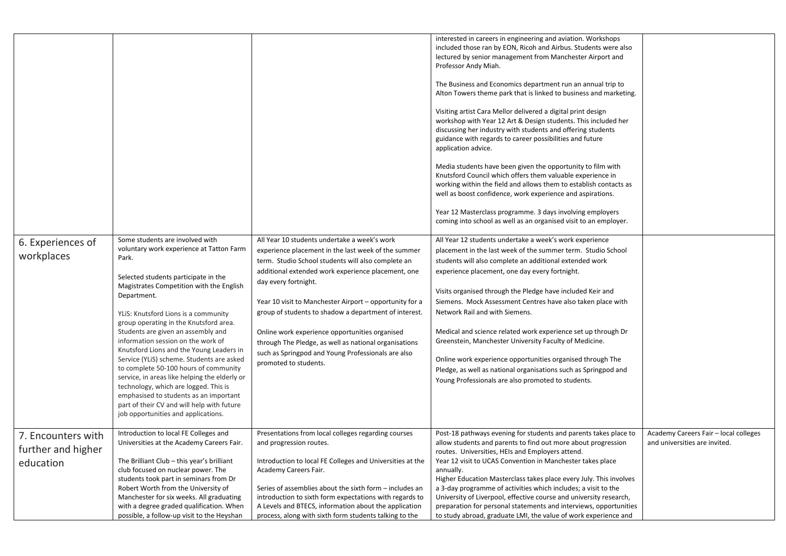|                                                       |                                                                                                                                                                                                                                                                                                                                                                                                                                                                                                                                                                                                                                                                                                                  |                                                                                                                                                                                                                                                                                                                                                                                                                                                                                                                                                       | interested in careers in engineering and aviation. Workshops<br>included those ran by EON, Ricoh and Airbus. Students were also<br>lectured by senior management from Manchester Airport and<br>Professor Andy Miah.<br>The Business and Economics department run an annual trip to<br>Alton Towers theme park that is linked to business and marketing.<br>Visiting artist Cara Mellor delivered a digital print design<br>workshop with Year 12 Art & Design students. This included her<br>discussing her industry with students and offering students<br>guidance with regards to career possibilities and future<br>application advice.<br>Media students have been given the opportunity to film with<br>Knutsford Council which offers them valuable experience in<br>working within the field and allows them to establish contacts as<br>well as boost confidence, work experience and aspirations.<br>Year 12 Masterclass programme. 3 days involving employers<br>coming into school as well as an organised visit to an employer. |                                                                        |
|-------------------------------------------------------|------------------------------------------------------------------------------------------------------------------------------------------------------------------------------------------------------------------------------------------------------------------------------------------------------------------------------------------------------------------------------------------------------------------------------------------------------------------------------------------------------------------------------------------------------------------------------------------------------------------------------------------------------------------------------------------------------------------|-------------------------------------------------------------------------------------------------------------------------------------------------------------------------------------------------------------------------------------------------------------------------------------------------------------------------------------------------------------------------------------------------------------------------------------------------------------------------------------------------------------------------------------------------------|-----------------------------------------------------------------------------------------------------------------------------------------------------------------------------------------------------------------------------------------------------------------------------------------------------------------------------------------------------------------------------------------------------------------------------------------------------------------------------------------------------------------------------------------------------------------------------------------------------------------------------------------------------------------------------------------------------------------------------------------------------------------------------------------------------------------------------------------------------------------------------------------------------------------------------------------------------------------------------------------------------------------------------------------------|------------------------------------------------------------------------|
| 6. Experiences of<br>workplaces                       | Some students are involved with<br>voluntary work experience at Tatton Farm<br>Park.<br>Selected students participate in the<br>Magistrates Competition with the English<br>Department.<br>YLIS: Knutsford Lions is a community<br>group operating in the Knutsford area.<br>Students are given an assembly and<br>information session on the work of<br>Knutsford Lions and the Young Leaders in<br>Service (YLiS) scheme. Students are asked<br>to complete 50-100 hours of community<br>service, in areas like helping the elderly or<br>technology, which are logged. This is<br>emphasised to students as an important<br>part of their CV and will help with future<br>job opportunities and applications. | All Year 10 students undertake a week's work<br>experience placement in the last week of the summer<br>term. Studio School students will also complete an<br>additional extended work experience placement, one<br>day every fortnight.<br>Year 10 visit to Manchester Airport - opportunity for a<br>group of students to shadow a department of interest.<br>Online work experience opportunities organised<br>through The Pledge, as well as national organisations<br>such as Springpod and Young Professionals are also<br>promoted to students. | All Year 12 students undertake a week's work experience<br>placement in the last week of the summer term. Studio School<br>students will also complete an additional extended work<br>experience placement, one day every fortnight.<br>Visits organised through the Pledge have included Keir and<br>Siemens. Mock Assessment Centres have also taken place with<br>Network Rail and with Siemens.<br>Medical and science related work experience set up through Dr<br>Greenstein, Manchester University Faculty of Medicine.<br>Online work experience opportunities organised through The<br>Pledge, as well as national organisations such as Springpod and<br>Young Professionals are also promoted to students.                                                                                                                                                                                                                                                                                                                         |                                                                        |
| 7. Encounters with<br>further and higher<br>education | Introduction to local FE Colleges and<br>Universities at the Academy Careers Fair.<br>The Brilliant Club - this year's brilliant<br>club focused on nuclear power. The<br>students took part in seminars from Dr<br>Robert Worth from the University of<br>Manchester for six weeks. All graduating<br>with a degree graded qualification. When<br>possible, a follow-up visit to the Heyshan                                                                                                                                                                                                                                                                                                                    | Presentations from local colleges regarding courses<br>and progression routes.<br>Introduction to local FE Colleges and Universities at the<br>Academy Careers Fair.<br>Series of assemblies about the sixth form - includes an<br>introduction to sixth form expectations with regards to<br>A Levels and BTECS, information about the application<br>process, along with sixth form students talking to the                                                                                                                                         | Post-18 pathways evening for students and parents takes place to<br>allow students and parents to find out more about progression<br>routes. Universities, HEIs and Employers attend.<br>Year 12 visit to UCAS Convention in Manchester takes place<br>annually.<br>Higher Education Masterclass takes place every July. This involves<br>a 3-day programme of activities which includes; a visit to the<br>University of Liverpool, effective course and university research,<br>preparation for personal statements and interviews, opportunities<br>to study abroad, graduate LMI, the value of work experience and                                                                                                                                                                                                                                                                                                                                                                                                                        | Academy Careers Fair - local colleges<br>and universities are invited. |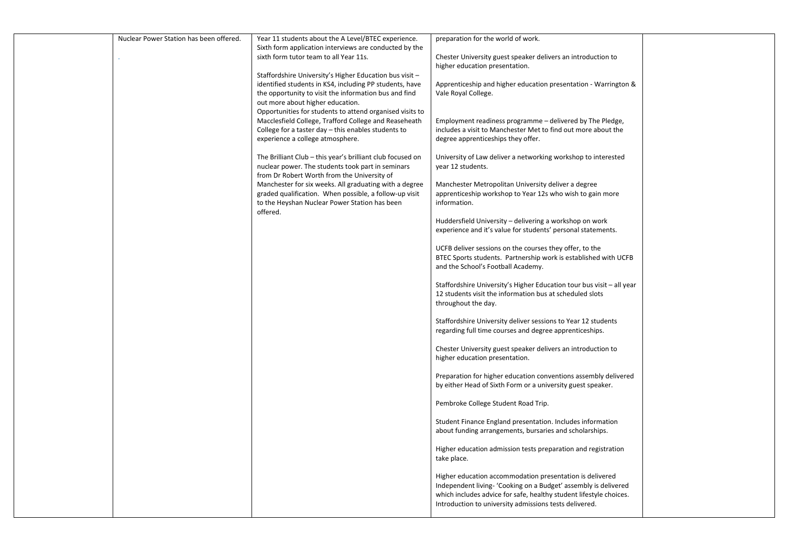| Nuclear Power Station has been offered. | Year 11 students about the A Level/BTEC experience.                                                     | preparation for the world of work.                                    |  |
|-----------------------------------------|---------------------------------------------------------------------------------------------------------|-----------------------------------------------------------------------|--|
|                                         | Sixth form application interviews are conducted by the                                                  |                                                                       |  |
|                                         | sixth form tutor team to all Year 11s.                                                                  | Chester University guest speaker delivers an introduction to          |  |
|                                         |                                                                                                         | higher education presentation.                                        |  |
|                                         | Staffordshire University's Higher Education bus visit -                                                 |                                                                       |  |
|                                         | identified students in KS4, including PP students, have                                                 | Apprenticeship and higher education presentation - Warrington &       |  |
|                                         | the opportunity to visit the information bus and find                                                   | Vale Royal College.                                                   |  |
|                                         | out more about higher education.                                                                        |                                                                       |  |
|                                         | Opportunities for students to attend organised visits to                                                |                                                                       |  |
|                                         | Macclesfield College, Trafford College and Reaseheath                                                   | Employment readiness programme - delivered by The Pledge,             |  |
|                                         | College for a taster day - this enables students to                                                     | includes a visit to Manchester Met to find out more about the         |  |
|                                         | experience a college atmosphere.                                                                        | degree apprenticeships they offer.                                    |  |
|                                         |                                                                                                         |                                                                       |  |
|                                         | The Brilliant Club - this year's brilliant club focused on                                              | University of Law deliver a networking workshop to interested         |  |
|                                         | nuclear power. The students took part in seminars                                                       | year 12 students.                                                     |  |
|                                         | from Dr Robert Worth from the University of                                                             |                                                                       |  |
|                                         | Manchester for six weeks. All graduating with a degree                                                  | Manchester Metropolitan University deliver a degree                   |  |
|                                         | graded qualification. When possible, a follow-up visit<br>to the Heyshan Nuclear Power Station has been | apprenticeship workshop to Year 12s who wish to gain more             |  |
|                                         | offered.                                                                                                | information.                                                          |  |
|                                         |                                                                                                         | Huddersfield University - delivering a workshop on work               |  |
|                                         |                                                                                                         | experience and it's value for students' personal statements.          |  |
|                                         |                                                                                                         |                                                                       |  |
|                                         |                                                                                                         | UCFB deliver sessions on the courses they offer, to the               |  |
|                                         |                                                                                                         | BTEC Sports students. Partnership work is established with UCFB       |  |
|                                         |                                                                                                         | and the School's Football Academy.                                    |  |
|                                         |                                                                                                         |                                                                       |  |
|                                         |                                                                                                         | Staffordshire University's Higher Education tour bus visit – all year |  |
|                                         |                                                                                                         | 12 students visit the information bus at scheduled slots              |  |
|                                         |                                                                                                         | throughout the day.                                                   |  |
|                                         |                                                                                                         |                                                                       |  |
|                                         |                                                                                                         | Staffordshire University deliver sessions to Year 12 students         |  |
|                                         |                                                                                                         | regarding full time courses and degree apprenticeships.               |  |
|                                         |                                                                                                         |                                                                       |  |
|                                         |                                                                                                         | Chester University guest speaker delivers an introduction to          |  |
|                                         |                                                                                                         | higher education presentation.                                        |  |
|                                         |                                                                                                         |                                                                       |  |
|                                         |                                                                                                         | Preparation for higher education conventions assembly delivered       |  |
|                                         |                                                                                                         | by either Head of Sixth Form or a university guest speaker.           |  |
|                                         |                                                                                                         |                                                                       |  |
|                                         |                                                                                                         | Pembroke College Student Road Trip.                                   |  |
|                                         |                                                                                                         | Student Finance England presentation. Includes information            |  |
|                                         |                                                                                                         |                                                                       |  |
|                                         |                                                                                                         | about funding arrangements, bursaries and scholarships.               |  |
|                                         |                                                                                                         | Higher education admission tests preparation and registration         |  |
|                                         |                                                                                                         | take place.                                                           |  |
|                                         |                                                                                                         |                                                                       |  |
|                                         |                                                                                                         | Higher education accommodation presentation is delivered              |  |
|                                         |                                                                                                         | Independent living- 'Cooking on a Budget' assembly is delivered       |  |
|                                         |                                                                                                         | which includes advice for safe, healthy student lifestyle choices.    |  |
|                                         |                                                                                                         | Introduction to university admissions tests delivered.                |  |
|                                         |                                                                                                         |                                                                       |  |
|                                         |                                                                                                         |                                                                       |  |